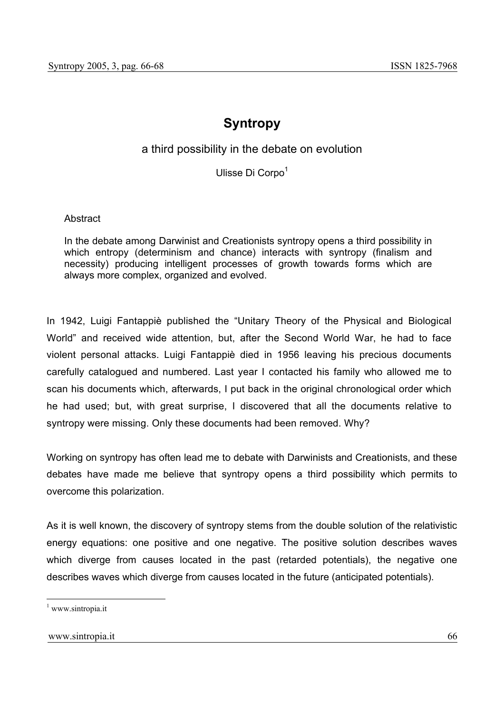## **Syntropy**

## a third possibility in the debate on evolution

Ulisse Di Corpo<sup>1</sup>

**Abstract** 

In the debate among Darwinist and Creationists syntropy opens a third possibility in which entropy (determinism and chance) interacts with syntropy (finalism and necessity) producing intelligent processes of growth towards forms which are always more complex, organized and evolved.

In 1942, Luigi Fantappiè published the "Unitary Theory of the Physical and Biological World" and received wide attention, but, after the Second World War, he had to face violent personal attacks. Luigi Fantappiè died in 1956 leaving his precious documents carefully catalogued and numbered. Last year I contacted his family who allowed me to scan his documents which, afterwards, I put back in the original chronological order which he had used; but, with great surprise, I discovered that all the documents relative to syntropy were missing. Only these documents had been removed. Why?

Working on syntropy has often lead me to debate with Darwinists and Creationists, and these debates have made me believe that syntropy opens a third possibility which permits to overcome this polarization.

As it is well known, the discovery of syntropy stems from the double solution of the relativistic energy equations: one positive and one negative. The positive solution describes waves which diverge from causes located in the past (retarded potentials), the negative one describes waves which diverge from causes located in the future (anticipated potentials).

<sup>1</sup> www.sintropia.it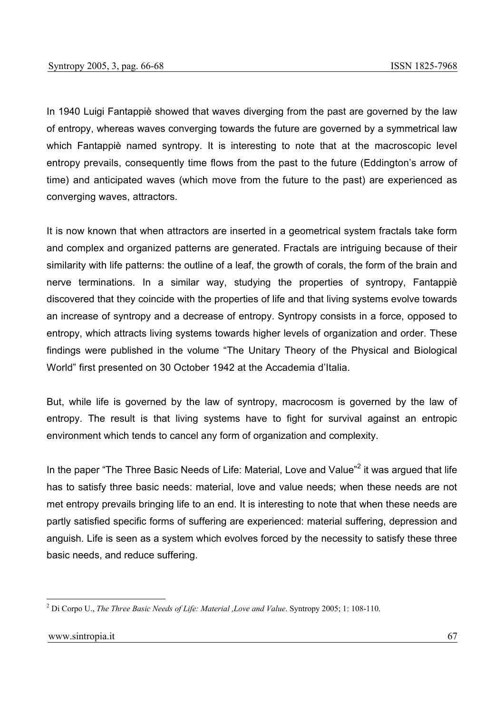In 1940 Luigi Fantappiè showed that waves diverging from the past are governed by the law of entropy, whereas waves converging towards the future are governed by a symmetrical law which Fantappiè named syntropy. It is interesting to note that at the macroscopic level entropy prevails, consequently time flows from the past to the future (Eddington's arrow of time) and anticipated waves (which move from the future to the past) are experienced as converging waves, attractors.

It is now known that when attractors are inserted in a geometrical system fractals take form and complex and organized patterns are generated. Fractals are intriguing because of their similarity with life patterns: the outline of a leaf, the growth of corals, the form of the brain and nerve terminations. In a similar way, studying the properties of syntropy, Fantappiè discovered that they coincide with the properties of life and that living systems evolve towards an increase of syntropy and a decrease of entropy. Syntropy consists in a force, opposed to entropy, which attracts living systems towards higher levels of organization and order. These findings were published in the volume "The Unitary Theory of the Physical and Biological World" first presented on 30 October 1942 at the Accademia d'Italia.

But, while life is governed by the law of syntropy, macrocosm is governed by the law of entropy. The result is that living systems have to fight for survival against an entropic environment which tends to cancel any form of organization and complexity.

In the paper "The Three Basic Needs of Life: Material, Love and Value"<sup>2</sup> it was argued that life has to satisfy three basic needs: material, love and value needs; when these needs are not met entropy prevails bringing life to an end. It is interesting to note that when these needs are partly satisfied specific forms of suffering are experienced: material suffering, depression and anguish. Life is seen as a system which evolves forced by the necessity to satisfy these three basic needs, and reduce suffering.

<sup>2</sup> Di Corpo U., *The Three Basic Needs of Life: Material ,Love and Value*. Syntropy 2005; 1: 108-110.